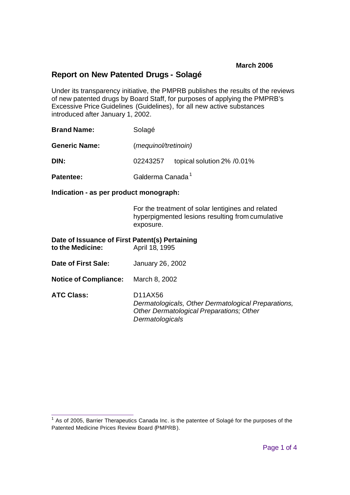# **Report on New Patented Drugs - Solagé**

Under its transparency initiative, the PMPRB publishes the results of the reviews of new patented drugs by Board Staff, for purposes of applying the PMPRB's Excessive Price Guidelines (Guidelines), for all new active substances introduced after January 1, 2002.

| <b>Brand Name:</b>   | Solagé                        |                            |
|----------------------|-------------------------------|----------------------------|
| <b>Generic Name:</b> | ( <i>mequinol/tretinoin</i> ) |                            |
| DIN:                 | 02243257                      | topical solution 2% /0.01% |
| <b>Patentee:</b>     | Galderma Canada <sup>1</sup>  |                            |

**Indication - as per product monograph:**

For the treatment of solar lentigines and related hyperpigmented lesions resulting from cumulative exposure.

| Date of Issuance of First Patent(s) Pertaining<br>to the Medicine: | April 18, 1995                                                                                                                |
|--------------------------------------------------------------------|-------------------------------------------------------------------------------------------------------------------------------|
| Date of First Sale:                                                | January 26, 2002                                                                                                              |
| <b>Notice of Compliance:</b>                                       | March 8, 2002                                                                                                                 |
| <b>ATC Class:</b>                                                  | D11AX56<br>Dermatologicals, Other Dermatological Preparations,<br>Other Dermatological Preparations; Other<br>Dermatologicals |

**TELECT**<br><sup>1</sup> As of 2005, Barrier Therapeutics Canada Inc. is the patentee of Solagé for the purposes of the Patented Medicine Prices Review Board (PMPRB).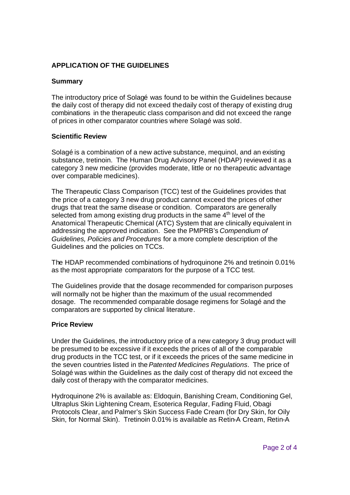## **APPLICATION OF THE GUIDELINES**

### **Summary**

The introductory price of Solagé was found to be within the Guidelines because the daily cost of therapy did not exceed the daily cost of therapy of existing drug combinations in the therapeutic class comparison and did not exceed the range of prices in other comparator countries where Solagé was sold.

#### **Scientific Review**

Solagé is a combination of a new active substance, mequinol, and an existing substance, tretinoin. The Human Drug Advisory Panel (HDAP) reviewed it as a category 3 new medicine (provides moderate, little or no therapeutic advantage over comparable medicines).

The Therapeutic Class Comparison (TCC) test of the Guidelines provides that the price of a category 3 new drug product cannot exceed the prices of other drugs that treat the same disease or condition. Comparators are generally selected from among existing drug products in the same 4<sup>th</sup> level of the Anatomical Therapeutic Chemical (ATC) System that are clinically equivalent in addressing the approved indication. See the PMPRB's *Compendium of Guidelines, Policies and Procedures* for a more complete description of the Guidelines and the policies on TCCs.

The HDAP recommended combinations of hydroquinone 2% and tretinoin 0.01% as the most appropriate comparators for the purpose of a TCC test.

The Guidelines provide that the dosage recommended for comparison purposes will normally not be higher than the maximum of the usual recommended dosage. The recommended comparable dosage regimens for Solagé and the comparators are supported by clinical literature.

#### **Price Review**

Under the Guidelines, the introductory price of a new category 3 drug product will be presumed to be excessive if it exceeds the prices of all of the comparable drug products in the TCC test, or if it exceeds the prices of the same medicine in the seven countries listed in the *Patented Medicines Regulations*. The price of Solagé was within the Guidelines as the daily cost of therapy did not exceed the daily cost of therapy with the comparator medicines.

Hydroquinone 2% is available as: Eldoquin, Banishing Cream, Conditioning Gel, Ultraplus Skin Lightening Cream, Esoterica Regular, Fading Fluid, Obagi Protocols Clear, and Palmer's Skin Success Fade Cream (for Dry Skin, for Oily Skin, for Normal Skin). Tretinoin 0.01% is available as Retin-A Cream, Retin-A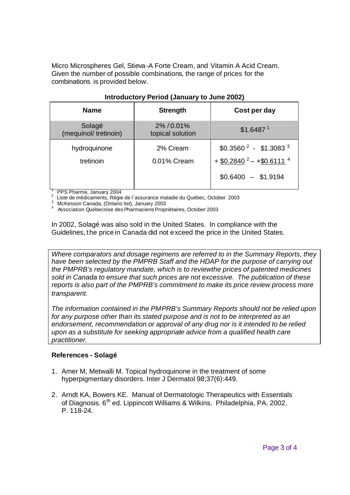Micro Microspheres Gel, Stieva-A Forte Cream, and Vitamin A Acid Cream. Given the number of possible combinations, the range of prices for the combinations is provided below.

| <b>Name</b>                    | <b>Strength</b>              | Cost per day                                                                                        |
|--------------------------------|------------------------------|-----------------------------------------------------------------------------------------------------|
| Solagé<br>(mequinol/tretinoin) | 2%/0.01%<br>topical solution | \$1.6487 <sup>1</sup>                                                                               |
| hydroquinone<br>tretinoin      | 2% Cream<br>0.01% Cream      | $$0.35602 - $1.30833$<br>$+$ \$0.2840 <sup>2</sup> - + \$0.6111 <sup>4</sup><br>$$0.6400 - $1.9194$ |

### **Introductory Period (January to June 2002)**

1 PPS Pharma, January 2004

 $2$  Liste de médicaments, Régie de l'assurance maladie du Québec, October 2003

3 McKesson Canada, (Ontario list), January 2003

4 Association Québecoise des Pharmaciens Propriétaires, October 2003

In 2002, Solagé was also sold in the United States. In compliance with the Guidelines, the price in Canada did not exceed the price in the United States.

*Where comparators and dosage regimens are referred to in the Summary Reports, they have been selected by the PMPRB Staff and the HDAP for the purpose of carrying out the PMPRB's regulatory mandate, which is to review the prices of patented medicines sold in Canada to ensure that such prices are not excessive. The publication of these reports is also part of the PMPRB's commitment to make its price review process more transparent.*

*The information contained in the PMPRB's Summary Reports should not be relied upon for any purpose other than its stated purpose and is not to be interpreted as an endorsement, recommendation or approval of any drug nor is it intended to be relied upon as a substitute for seeking appropriate advice from a qualified health care practitioner.*

# **References - Solagé**

- 1. Amer M, Metwalli M. Topical hydroquinone in the treatment of some hyperpigmentary disorders. Inter J Dermatol 98;37(6):449.
- 2. Arndt KA, Bowers KE. Manual of Dermatologic Therapeutics with Essentials of Diagnosis. 6<sup>th</sup> ed. Lippincott Williams & Wilkins. Philadelphia, PA. 2002. P. 118-24.